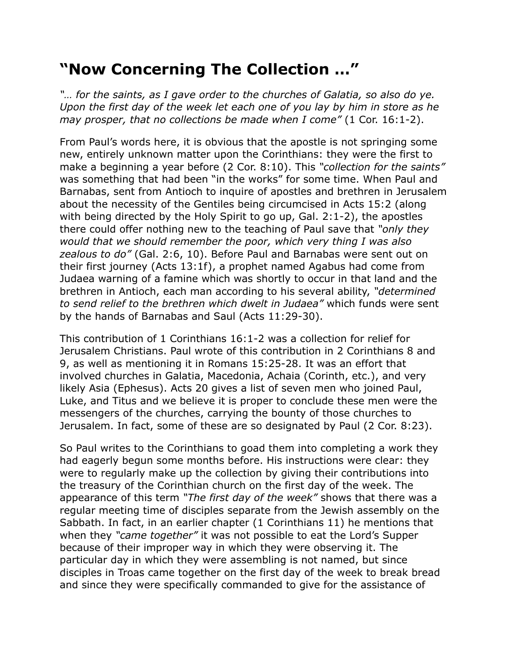## **"Now Concerning The Collection …"**

*"… for the saints, as I gave order to the churches of Galatia, so also do ye. Upon the first day of the week let each one of you lay by him in store as he may prosper, that no collections be made when I come"* (1 Cor. 16:1-2).

From Paul's words here, it is obvious that the apostle is not springing some new, entirely unknown matter upon the Corinthians: they were the first to make a beginning a year before (2 Cor. 8:10). This *"collection for the saints"* was something that had been "in the works" for some time. When Paul and Barnabas, sent from Antioch to inquire of apostles and brethren in Jerusalem about the necessity of the Gentiles being circumcised in Acts 15:2 (along with being directed by the Holy Spirit to go up, Gal. 2:1-2), the apostles there could offer nothing new to the teaching of Paul save that *"only they would that we should remember the poor, which very thing I was also zealous to do"* (Gal. 2:6, 10). Before Paul and Barnabas were sent out on their first journey (Acts 13:1f), a prophet named Agabus had come from Judaea warning of a famine which was shortly to occur in that land and the brethren in Antioch, each man according to his several ability, *"determined to send relief to the brethren which dwelt in Judaea"* which funds were sent by the hands of Barnabas and Saul (Acts 11:29-30).

This contribution of 1 Corinthians 16:1-2 was a collection for relief for Jerusalem Christians. Paul wrote of this contribution in 2 Corinthians 8 and 9, as well as mentioning it in Romans 15:25-28. It was an effort that involved churches in Galatia, Macedonia, Achaia (Corinth, etc.), and very likely Asia (Ephesus). Acts 20 gives a list of seven men who joined Paul, Luke, and Titus and we believe it is proper to conclude these men were the messengers of the churches, carrying the bounty of those churches to Jerusalem. In fact, some of these are so designated by Paul (2 Cor. 8:23).

So Paul writes to the Corinthians to goad them into completing a work they had eagerly begun some months before. His instructions were clear: they were to regularly make up the collection by giving their contributions into the treasury of the Corinthian church on the first day of the week. The appearance of this term *"The first day of the week"* shows that there was a regular meeting time of disciples separate from the Jewish assembly on the Sabbath. In fact, in an earlier chapter (1 Corinthians 11) he mentions that when they *"came together"* it was not possible to eat the Lord's Supper because of their improper way in which they were observing it. The particular day in which they were assembling is not named, but since disciples in Troas came together on the first day of the week to break bread and since they were specifically commanded to give for the assistance of